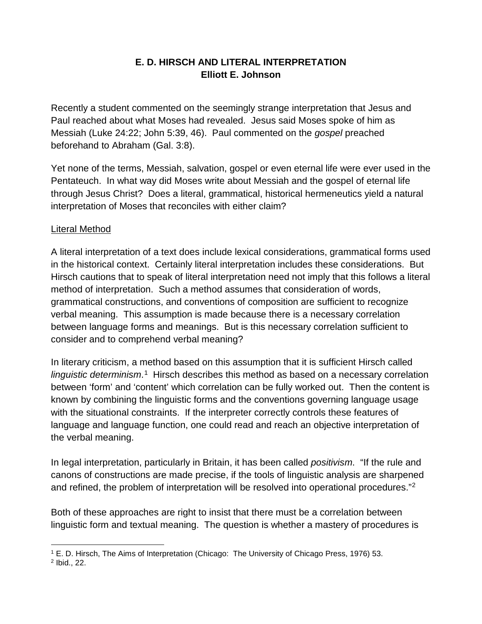## **E. D. HIRSCH AND LITERAL INTERPRETATION Elliott E. Johnson**

Recently a student commented on the seemingly strange interpretation that Jesus and Paul reached about what Moses had revealed. Jesus said Moses spoke of him as Messiah (Luke 24:22; John 5:39, 46). Paul commented on the *gospel* preached beforehand to Abraham (Gal. 3:8).

Yet none of the terms, Messiah, salvation, gospel or even eternal life were ever used in the Pentateuch. In what way did Moses write about Messiah and the gospel of eternal life through Jesus Christ? Does a literal, grammatical, historical hermeneutics yield a natural interpretation of Moses that reconciles with either claim?

## Literal Method

A literal interpretation of a text does include lexical considerations, grammatical forms used in the historical context. Certainly literal interpretation includes these considerations. But Hirsch cautions that to speak of literal interpretation need not imply that this follows a literal method of interpretation. Such a method assumes that consideration of words, grammatical constructions, and conventions of composition are sufficient to recognize verbal meaning. This assumption is made because there is a necessary correlation between language forms and meanings. But is this necessary correlation sufficient to consider and to comprehend verbal meaning?

In literary criticism, a method based on this assumption that it is sufficient Hirsch called linguistic determinism.<sup>1</sup> Hirsch describes this method as based on a necessary correlation between 'form' and 'content' which correlation can be fully worked out. Then the content is known by combining the linguistic forms and the conventions governing language usage with the situational constraints. If the interpreter correctly controls these features of language and language function, one could read and reach an objective interpretation of the verbal meaning.

In legal interpretation, particularly in Britain, it has been called *positivism*. "If the rule and canons of constructions are made precise, if the tools of linguistic analysis are sharpened and refined, the problem of interpretation will be resolved into operational procedures."[2](#page-0-1)

Both of these approaches are right to insist that there must be a correlation between linguistic form and textual meaning. The question is whether a mastery of procedures is

<span id="page-0-1"></span><span id="page-0-0"></span> $\overline{a}$ <sup>1</sup> E. D. Hirsch, The Aims of Interpretation (Chicago: The University of Chicago Press, 1976) 53. <sup>2</sup> Ibid., 22.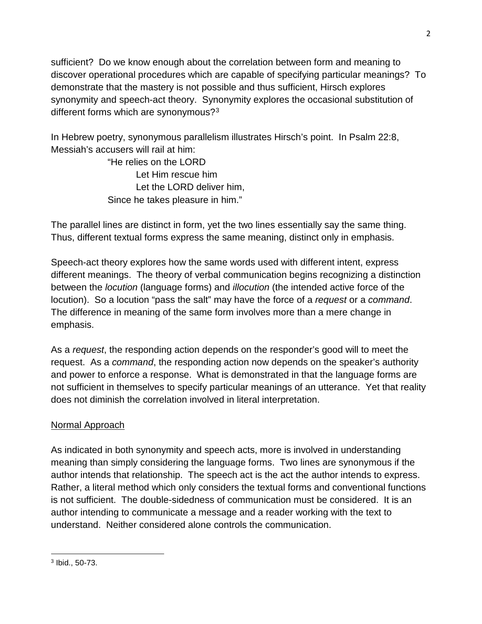sufficient? Do we know enough about the correlation between form and meaning to discover operational procedures which are capable of specifying particular meanings? To demonstrate that the mastery is not possible and thus sufficient, Hirsch explores synonymity and speech-act theory. Synonymity explores the occasional substitution of different forms which are synonymous?<sup>[3](#page-1-0)</sup>

In Hebrew poetry, synonymous parallelism illustrates Hirsch's point. In Psalm 22:8, Messiah's accusers will rail at him:

> "He relies on the LORD Let Him rescue him Let the LORD deliver him, Since he takes pleasure in him."

The parallel lines are distinct in form, yet the two lines essentially say the same thing. Thus, different textual forms express the same meaning, distinct only in emphasis.

Speech-act theory explores how the same words used with different intent, express different meanings. The theory of verbal communication begins recognizing a distinction between the *locution* (language forms) and *illocution* (the intended active force of the locution). So a locution "pass the salt" may have the force of a *request* or a *command*. The difference in meaning of the same form involves more than a mere change in emphasis.

As a *request*, the responding action depends on the responder's good will to meet the request. As a *command*, the responding action now depends on the speaker's authority and power to enforce a response. What is demonstrated in that the language forms are not sufficient in themselves to specify particular meanings of an utterance. Yet that reality does not diminish the correlation involved in literal interpretation.

# Normal Approach

As indicated in both synonymity and speech acts, more is involved in understanding meaning than simply considering the language forms. Two lines are synonymous if the author intends that relationship. The speech act is the act the author intends to express. Rather, a literal method which only considers the textual forms and conventional functions is not sufficient. The double-sidedness of communication must be considered. It is an author intending to communicate a message and a reader working with the text to understand. Neither considered alone controls the communication.

l

<span id="page-1-0"></span><sup>3</sup> Ibid., 50-73.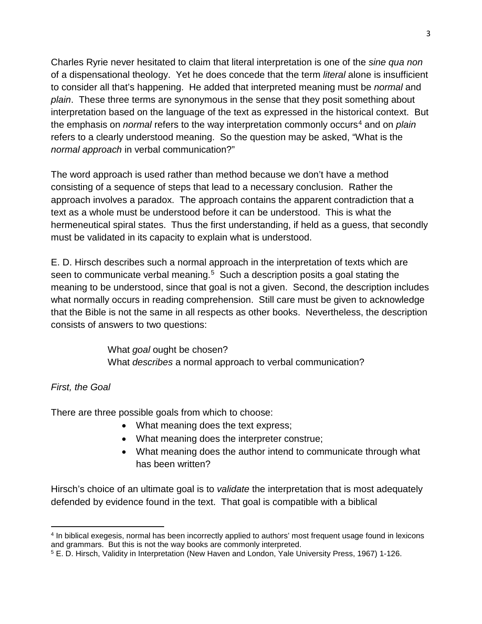Charles Ryrie never hesitated to claim that literal interpretation is one of the *sine qua non* of a dispensational theology. Yet he does concede that the term *literal* alone is insufficient to consider all that's happening. He added that interpreted meaning must be *normal* and *plain*. These three terms are synonymous in the sense that they posit something about interpretation based on the language of the text as expressed in the historical context. But the emphasis on *normal* refers to the way interpretation commonly occurs<sup>[4](#page-2-0)</sup> and on *plain* refers to a clearly understood meaning. So the question may be asked, "What is the *normal approach* in verbal communication?"

The word approach is used rather than method because we don't have a method consisting of a sequence of steps that lead to a necessary conclusion. Rather the approach involves a paradox. The approach contains the apparent contradiction that a text as a whole must be understood before it can be understood. This is what the hermeneutical spiral states. Thus the first understanding, if held as a guess, that secondly must be validated in its capacity to explain what is understood.

E. D. Hirsch describes such a normal approach in the interpretation of texts which are seen to communicate verbal meaning.<sup>5</sup> Such a description posits a goal stating the meaning to be understood, since that goal is not a given. Second, the description includes what normally occurs in reading comprehension. Still care must be given to acknowledge that the Bible is not the same in all respects as other books. Nevertheless, the description consists of answers to two questions:

> What *goal* ought be chosen? What *describes* a normal approach to verbal communication?

#### *First, the Goal*

l

There are three possible goals from which to choose:

- What meaning does the text express;
- What meaning does the interpreter construe;
- What meaning does the author intend to communicate through what has been written?

Hirsch's choice of an ultimate goal is to *validate* the interpretation that is most adequately defended by evidence found in the text. That goal is compatible with a biblical

<span id="page-2-0"></span><sup>4</sup> In biblical exegesis, normal has been incorrectly applied to authors' most frequent usage found in lexicons and grammars. But this is not the way books are commonly interpreted.

<span id="page-2-1"></span><sup>5</sup> E. D. Hirsch, Validity in Interpretation (New Haven and London, Yale University Press, 1967) 1-126.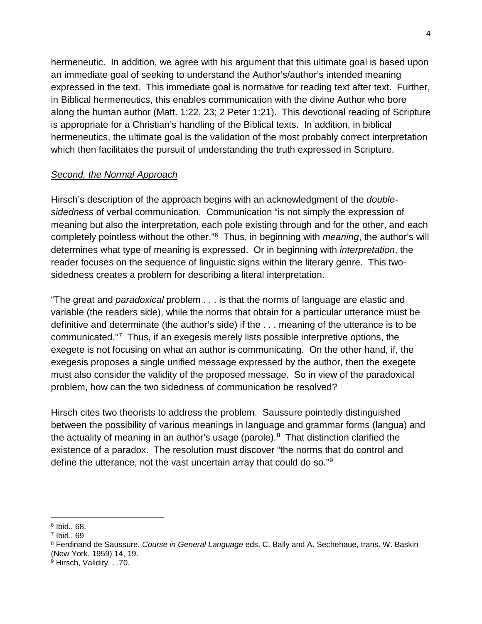hermeneutic. In addition, we agree with his argument that this ultimate goal is based upon an immediate goal of seeking to understand the Author's/author's intended meaning expressed in the text. This immediate goal is normative for reading text after text. Further, in Biblical hermeneutics, this enables communication with the divine Author who bore along the human author (Matt. 1:22, 23; 2 Peter 1:21). This devotional reading of Scripture is appropriate for a Christian's handling of the Biblical texts. In addition, in biblical hermeneutics, the ultimate goal is the validation of the most probably correct interpretation which then facilitates the pursuit of understanding the truth expressed in Scripture.

#### *Second, the Normal Approach*

Hirsch's description of the approach begins with an acknowledgment of the *doublesidedness* of verbal communication. Communication "is not simply the expression of meaning but also the interpretation, each pole existing through and for the other, and each completely pointless without the other."[6](#page-3-0) Thus, in beginning with *meaning*, the author's will determines what type of meaning is expressed. Or in beginning with *interpretation*, the reader focuses on the sequence of linguistic signs within the literary genre. This twosidedness creates a problem for describing a literal interpretation.

"The great and *paradoxical* problem . . . is that the norms of language are elastic and variable (the readers side), while the norms that obtain for a particular utterance must be definitive and determinate (the author's side) if the . . . meaning of the utterance is to be communicated."[7](#page-3-1) Thus, if an exegesis merely lists possible interpretive options, the exegete is not focusing on what an author is communicating. On the other hand, if, the exegesis proposes a single unified message expressed by the author, then the exegete must also consider the validity of the proposed message. So in view of the paradoxical problem, how can the two sidedness of communication be resolved?

Hirsch cites two theorists to address the problem. Saussure pointedly distinguished between the possibility of various meanings in language and grammar forms (langua) and the actuality of meaning in an author's usage (parole). [8](#page-3-2) That distinction clarified the existence of a paradox. The resolution must discover "the norms that do control and define the utterance, not the vast uncertain array that could do so."[9](#page-3-3)

 $\overline{a}$ 

<span id="page-3-0"></span> $6$  Ibid.. 68.

<span id="page-3-1"></span><sup>7</sup> Ibid.. 69

<span id="page-3-2"></span><sup>8</sup> Ferdinand de Saussure, *Course in General Language* eds. C. Bally and A. Sechehaue, trans. W. Baskin (New York, 1959) 14, 19.

<span id="page-3-3"></span><sup>9</sup> Hirsch, Validity. . .70.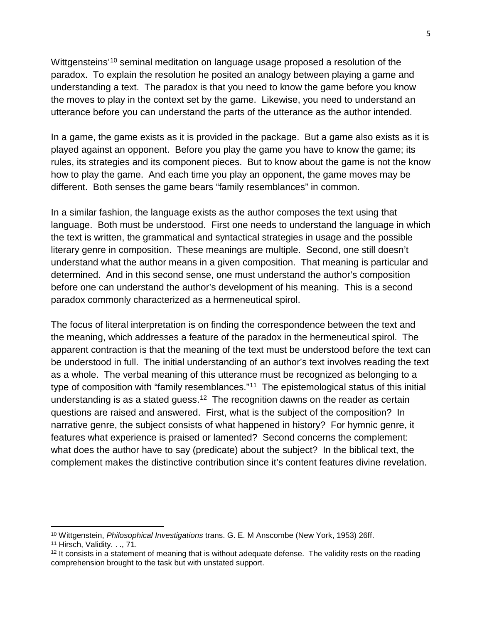Wittgensteins<sup>'[10](#page-4-0)</sup> seminal meditation on language usage proposed a resolution of the paradox. To explain the resolution he posited an analogy between playing a game and understanding a text. The paradox is that you need to know the game before you know the moves to play in the context set by the game. Likewise, you need to understand an utterance before you can understand the parts of the utterance as the author intended.

In a game, the game exists as it is provided in the package. But a game also exists as it is played against an opponent. Before you play the game you have to know the game; its rules, its strategies and its component pieces. But to know about the game is not the know how to play the game. And each time you play an opponent, the game moves may be different. Both senses the game bears "family resemblances" in common.

In a similar fashion, the language exists as the author composes the text using that language. Both must be understood. First one needs to understand the language in which the text is written, the grammatical and syntactical strategies in usage and the possible literary genre in composition. These meanings are multiple. Second, one still doesn't understand what the author means in a given composition. That meaning is particular and determined. And in this second sense, one must understand the author's composition before one can understand the author's development of his meaning. This is a second paradox commonly characterized as a hermeneutical spirol.

The focus of literal interpretation is on finding the correspondence between the text and the meaning, which addresses a feature of the paradox in the hermeneutical spirol. The apparent contraction is that the meaning of the text must be understood before the text can be understood in full. The initial understanding of an author's text involves reading the text as a whole. The verbal meaning of this utterance must be recognized as belonging to a type of composition with "family resemblances."<sup>[11](#page-4-1)</sup> The epistemological status of this initial understanding is as a stated guess.<sup>12</sup> The recognition dawns on the reader as certain questions are raised and answered. First, what is the subject of the composition? In narrative genre, the subject consists of what happened in history? For hymnic genre, it features what experience is praised or lamented? Second concerns the complement: what does the author have to say (predicate) about the subject? In the biblical text, the complement makes the distinctive contribution since it's content features divine revelation.

l

<span id="page-4-0"></span><sup>10</sup> Wittgenstein, *Philosophical Investigations* trans. G. E. M Anscombe (New York, 1953) 26ff.

<span id="page-4-1"></span><sup>11</sup> Hirsch, Validity. . ., 71.

<span id="page-4-2"></span><sup>&</sup>lt;sup>12</sup> It consists in a statement of meaning that is without adequate defense. The validity rests on the reading comprehension brought to the task but with unstated support.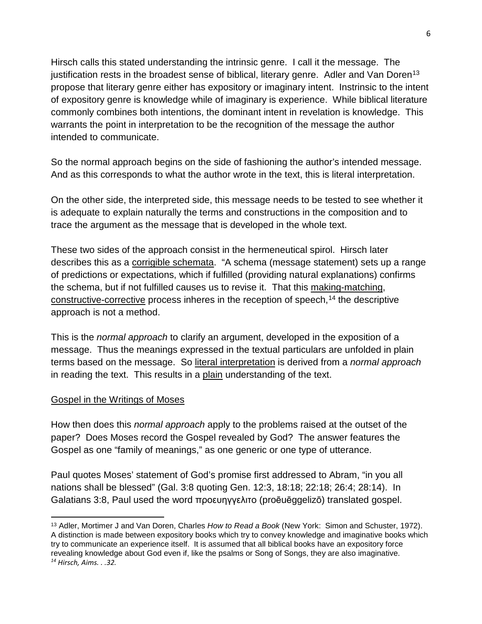Hirsch calls this stated understanding the intrinsic genre. I call it the message. The justification rests in the broadest sense of biblical, literary genre. Adler and Van Doren<sup>[13](#page-5-0)</sup> propose that literary genre either has expository or imaginary intent. Instrinsic to the intent of expository genre is knowledge while of imaginary is experience. While biblical literature commonly combines both intentions, the dominant intent in revelation is knowledge. This warrants the point in interpretation to be the recognition of the message the author intended to communicate.

So the normal approach begins on the side of fashioning the author's intended message. And as this corresponds to what the author wrote in the text, this is literal interpretation.

On the other side, the interpreted side, this message needs to be tested to see whether it is adequate to explain naturally the terms and constructions in the composition and to trace the argument as the message that is developed in the whole text.

These two sides of the approach consist in the hermeneutical spirol. Hirsch later describes this as a corrigible schemata. "A schema (message statement) sets up a range of predictions or expectations, which if fulfilled (providing natural explanations) confirms the schema, but if not fulfilled causes us to revise it. That this making-matching, constructive-corrective process inheres in the reception of speech,  $14$  the descriptive approach is not a method.

This is the *normal approach* to clarify an argument, developed in the exposition of a message. Thus the meanings expressed in the textual particulars are unfolded in plain terms based on the message. So literal interpretation is derived from a *normal approach* in reading the text. This results in a plain understanding of the text.

#### Gospel in the Writings of Moses

 $\overline{a}$ 

How then does this *normal approach* apply to the problems raised at the outset of the paper? Does Moses record the Gospel revealed by God? The answer features the Gospel as one "family of meanings," as one generic or one type of utterance.

Paul quotes Moses' statement of God's promise first addressed to Abram, "in you all nations shall be blessed" (Gal. 3:8 quoting Gen. 12:3, 18:18; 22:18; 26:4; 28:14). In Galatians 3:8, Paul used the word προευηγγελιτο (proēuēggelizō) translated gospel.

<span id="page-5-1"></span><span id="page-5-0"></span><sup>13</sup> Adler, Mortimer J and Van Doren, Charles *How to Read a Book* (New York: Simon and Schuster, 1972). A distinction is made between expository books which try to convey knowledge and imaginative books which try to communicate an experience itself. It is assumed that all biblical books have an expository force revealing knowledge about God even if, like the psalms or Song of Songs, they are also imaginative. *<sup>14</sup> Hirsch, Aims. . .32.*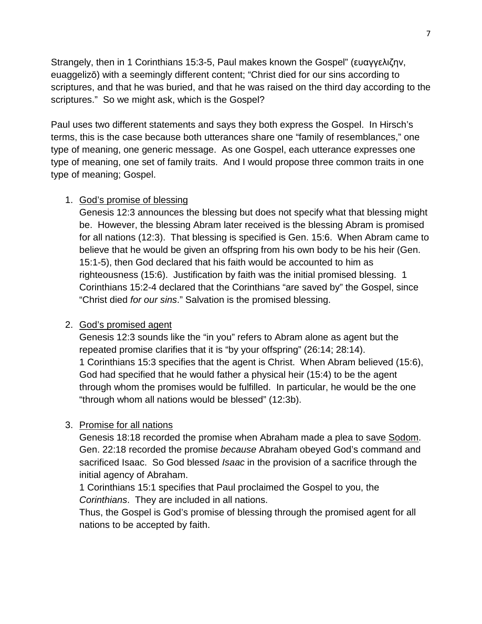Strangely, then in 1 Corinthians 15:3-5, Paul makes known the Gospel" (ευαγγελιζην, euaggelizō) with a seemingly different content; "Christ died for our sins according to scriptures, and that he was buried, and that he was raised on the third day according to the scriptures." So we might ask, which is the Gospel?

Paul uses two different statements and says they both express the Gospel. In Hirsch's terms, this is the case because both utterances share one "family of resemblances," one type of meaning, one generic message. As one Gospel, each utterance expresses one type of meaning, one set of family traits. And I would propose three common traits in one type of meaning; Gospel.

### 1. God's promise of blessing

Genesis 12:3 announces the blessing but does not specify what that blessing might be. However, the blessing Abram later received is the blessing Abram is promised for all nations (12:3). That blessing is specified is Gen. 15:6. When Abram came to believe that he would be given an offspring from his own body to be his heir (Gen. 15:1-5), then God declared that his faith would be accounted to him as righteousness (15:6). Justification by faith was the initial promised blessing. 1 Corinthians 15:2-4 declared that the Corinthians "are saved by" the Gospel, since "Christ died *for our sins*." Salvation is the promised blessing.

## 2. God's promised agent

Genesis 12:3 sounds like the "in you" refers to Abram alone as agent but the repeated promise clarifies that it is "by your offspring" (26:14; 28:14). 1 Corinthians 15:3 specifies that the agent is Christ. When Abram believed (15:6), God had specified that he would father a physical heir (15:4) to be the agent through whom the promises would be fulfilled. In particular, he would be the one "through whom all nations would be blessed" (12:3b).

## 3. Promise for all nations

Genesis 18:18 recorded the promise when Abraham made a plea to save Sodom. Gen. 22:18 recorded the promise *because* Abraham obeyed God's command and sacrificed Isaac. So God blessed *Isaac* in the provision of a sacrifice through the initial agency of Abraham.

1 Corinthians 15:1 specifies that Paul proclaimed the Gospel to you, the *Corinthians*. They are included in all nations.

Thus, the Gospel is God's promise of blessing through the promised agent for all nations to be accepted by faith.